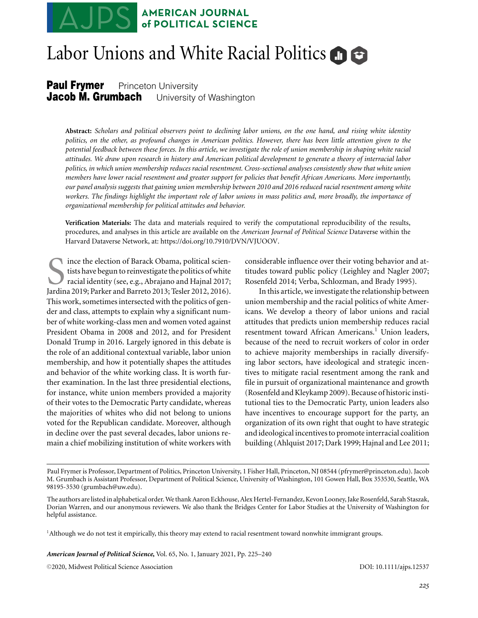# **AMERICAN JOURNAL<br>of POLITICAL SCIENCE**

# Labor Unions and White Racial Politics

**Paul Frymer** Princeton University<br>**Jacob M. Grumbach** University **University of Washington** 

**Abstract:** *Scholars and political observers point to declining labor unions, on the one hand, and rising white identity politics, on the other, as profound changes in American politics. However, there has been little attention given to the potential feedback between these forces. In this article, we investigate the role of union membership in shaping white racial attitudes. We draw upon research in history and American political development to generate a theory of interracial labor politics, in which union membership reduces racial resentment. Cross-sectional analyses consistently show that white union members have lower racial resentment and greater support for policies that benefit African Americans. More importantly, our panel analysis suggests that gaining union membership between 2010 and 2016 reduced racial resentment among white workers. The findings highlight the important role of labor unions in mass politics and, more broadly, the importance of organizational membership for political attitudes and behavior.*

**Verification Materials:** The data and materials required to verify the computational reproducibility of the results, procedures, and analyses in this article are available on the *American Journal of Political Science* Dataverse within the Harvard Dataverse Network, at: [https://doi.org/10.7910/DVN/VJUOOV.](https://doi.org/10.7910/DVN/VJUOOV)

Since the election of Barack Obama, political scien-<br>tists have begun to reinvestigate the politics of white<br>racial identity (see, e.g., Abrajano and Hajnal 2017;<br>Jardina 2019: Parker and Barreto 2013: Tesler 2012, 2016). tists have begun to reinvestigate the politics of white racial identity (see, e.g., Abrajano and Hajnal 2017; Jardina 2019; Parker and Barreto 2013; Tesler 2012, 2016). This work, sometimes intersected with the politics of gender and class, attempts to explain why a significant number of white working-class men and women voted against President Obama in 2008 and 2012, and for President Donald Trump in 2016. Largely ignored in this debate is the role of an additional contextual variable, labor union membership, and how it potentially shapes the attitudes and behavior of the white working class. It is worth further examination. In the last three presidential elections, for instance, white union members provided a majority of their votes to the Democratic Party candidate, whereas the majorities of whites who did not belong to unions voted for the Republican candidate. Moreover, although in decline over the past several decades, labor unions remain a chief mobilizing institution of white workers with

considerable influence over their voting behavior and attitudes toward public policy (Leighley and Nagler 2007; Rosenfeld 2014; Verba, Schlozman, and Brady 1995).

In this article, we investigate the relationship between union membership and the racial politics of white Americans. We develop a theory of labor unions and racial attitudes that predicts union membership reduces racial resentment toward African Americans.<sup>1</sup> Union leaders, because of the need to recruit workers of color in order to achieve majority memberships in racially diversifying labor sectors, have ideological and strategic incentives to mitigate racial resentment among the rank and file in pursuit of organizational maintenance and growth (Rosenfeld and Kleykamp 2009). Because of historic institutional ties to the Democratic Party, union leaders also have incentives to encourage support for the party, an organization of its own right that ought to have strategic and ideological incentives to promote interracial coalition building (Ahlquist 2017; Dark 1999; Hajnal and Lee 2011;

 $1$ Although we do not test it empirically, this theory may extend to racial resentment toward nonwhite immigrant groups.

*American Journal of Political Science***,** Vol. 65, No. 1, January 2021, Pp. 225–240

-<sup>C</sup> 2020, Midwest Political Science Association DOI: 10.1111/ajps.12537

Paul Frymer is Professor, Department of Politics, Princeton University, 1 Fisher Hall, Princeton, NJ 08544 (pfrymer@princeton.edu). Jacob M. Grumbach is Assistant Professor, Department of Political Science, University of Washington, 101 Gowen Hall, Box 353530, Seattle, WA 98195-3530 (grumbach@uw.edu).

The authors are listed in alphabetical order.We thank Aaron Eckhouse, Alex Hertel-Fernandez, Kevon Looney, Jake Rosenfeld, Sarah Staszak, Dorian Warren, and our anonymous reviewers. We also thank the Bridges Center for Labor Studies at the University of Washington for helpful assistance.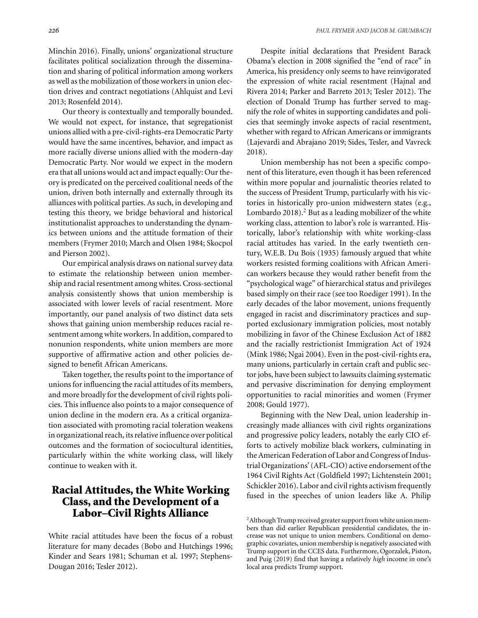Our theory is contextually and temporally bounded. We would not expect, for instance, that segregationist unions allied with a pre-civil-rights-era Democratic Party would have the same incentives, behavior, and impact as more racially diverse unions allied with the modern-day Democratic Party. Nor would we expect in the modern era that all unions would act and impact equally: Our theory is predicated on the perceived coalitional needs of the union, driven both internally and externally through its alliances with political parties. As such, in developing and testing this theory, we bridge behavioral and historical institutionalist approaches to understanding the dynamics between unions and the attitude formation of their members (Frymer 2010; March and Olsen 1984; Skocpol and Pierson 2002).

Our empirical analysis draws on national survey data to estimate the relationship between union membership and racial resentment among whites. Cross-sectional analysis consistently shows that union membership is associated with lower levels of racial resentment. More importantly, our panel analysis of two distinct data sets shows that gaining union membership reduces racial resentment among white workers. In addition, compared to nonunion respondents, white union members are more supportive of affirmative action and other policies designed to benefit African Americans.

Taken together, the results point to the importance of unions for influencing the racial attitudes of its members, and more broadly for the development of civil rights policies. This influence also points to a major consequence of union decline in the modern era. As a critical organization associated with promoting racial toleration weakens in organizational reach, its relative influence over political outcomes and the formation of sociocultural identities, particularly within the white working class, will likely continue to weaken with it.

# **Racial Attitudes, the White Working Class, and the Development of a Labor–Civil Rights Alliance**

White racial attitudes have been the focus of a robust literature for many decades (Bobo and Hutchings 1996; Kinder and Sears 1981; Schuman et al. 1997; Stephens-Dougan 2016; Tesler 2012).

Despite initial declarations that President Barack Obama's election in 2008 signified the "end of race" in America, his presidency only seems to have reinvigorated the expression of white racial resentment (Hajnal and Rivera 2014; Parker and Barreto 2013; Tesler 2012). The election of Donald Trump has further served to magnify the role of whites in supporting candidates and policies that seemingly invoke aspects of racial resentment, whether with regard to African Americans or immigrants (Lajevardi and Abrajano 2019; Sides, Tesler, and Vavreck 2018).

Union membership has not been a specific component of this literature, even though it has been referenced within more popular and journalistic theories related to the success of President Trump, particularly with his victories in historically pro-union midwestern states (e.g., Lombardo 2018).<sup>2</sup> But as a leading mobilizer of the white working class, attention to labor's role is warranted. Historically, labor's relationship with white working-class racial attitudes has varied. In the early twentieth century, W.E.B. Du Bois (1935) famously argued that white workers resisted forming coalitions with African American workers because they would rather benefit from the "psychological wage" of hierarchical status and privileges based simply on their race (see too Roediger 1991). In the early decades of the labor movement, unions frequently engaged in racist and discriminatory practices and supported exclusionary immigration policies, most notably mobilizing in favor of the Chinese Exclusion Act of 1882 and the racially restrictionist Immigration Act of 1924 (Mink 1986; Ngai 2004). Even in the post-civil-rights era, many unions, particularly in certain craft and public sector jobs, have been subject to lawsuits claiming systematic and pervasive discrimination for denying employment opportunities to racial minorities and women (Frymer 2008; Gould 1977).

Beginning with the New Deal, union leadership increasingly made alliances with civil rights organizations and progressive policy leaders, notably the early CIO efforts to actively mobilize black workers, culminating in the American Federation of Labor and Congress of Industrial Organizations' (AFL-CIO) active endorsement of the 1964 Civil Rights Act (Goldfield 1997; Lichtenstein 2001; Schickler 2016). Labor and civil rights activism frequently fused in the speeches of union leaders like A. Philip

<sup>&</sup>lt;sup>2</sup> Although Trump received greater support from white union members than did earlier Republican presidential candidates, the increase was not unique to union members. Conditional on demographic covariates, union membership is negatively associated with Trump support in the CCES data. Furthermore, Ogorzalek, Piston, and Puig (2019) find that having a relatively *high* income in one's local area predicts Trump support.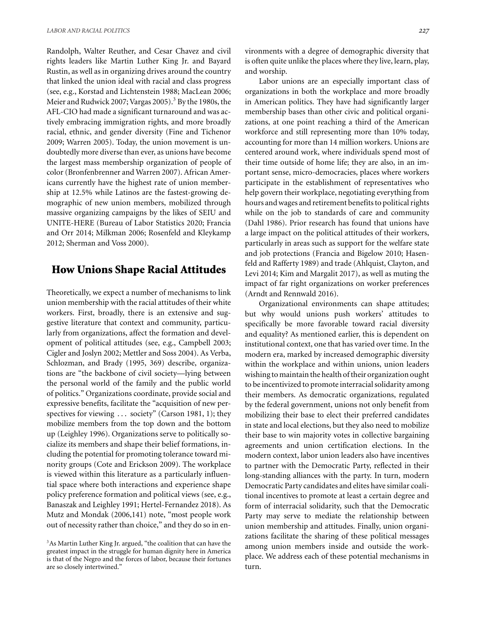Randolph, Walter Reuther, and Cesar Chavez and civil rights leaders like Martin Luther King Jr. and Bayard Rustin, as well as in organizing drives around the country that linked the union ideal with racial and class progress (see, e.g., Korstad and Lichtenstein 1988; MacLean 2006; Meier and Rudwick 2007; Vargas 2005).<sup>3</sup> By the 1980s, the AFL-CIO had made a significant turnaround and was actively embracing immigration rights, and more broadly racial, ethnic, and gender diversity (Fine and Tichenor 2009; Warren 2005). Today, the union movement is undoubtedly more diverse than ever, as unions have become the largest mass membership organization of people of color (Bronfenbrenner and Warren 2007). African Americans currently have the highest rate of union membership at 12.5% while Latinos are the fastest-growing demographic of new union members, mobilized through massive organizing campaigns by the likes of SEIU and UNITE-HERE (Bureau of Labor Statistics 2020; Francia and Orr 2014; Milkman 2006; Rosenfeld and Kleykamp 2012; Sherman and Voss 2000).

# **How Unions Shape Racial Attitudes**

Theoretically, we expect a number of mechanisms to link union membership with the racial attitudes of their white workers. First, broadly, there is an extensive and suggestive literature that context and community, particularly from organizations, affect the formation and development of political attitudes (see, e.g., Campbell 2003; Cigler and Joslyn 2002; Mettler and Soss 2004). As Verba, Schlozman, and Brady (1995, 369) describe, organizations are "the backbone of civil society—lying between the personal world of the family and the public world of politics." Organizations coordinate, provide social and expressive benefits, facilitate the "acquisition of new perspectives for viewing ... society" (Carson 1981, 1); they mobilize members from the top down and the bottom up (Leighley 1996). Organizations serve to politically socialize its members and shape their belief formations, including the potential for promoting tolerance toward minority groups (Cote and Erickson 2009). The workplace is viewed within this literature as a particularly influential space where both interactions and experience shape policy preference formation and political views (see, e.g., Banaszak and Leighley 1991; Hertel-Fernandez 2018). As Mutz and Mondak (2006,141) note, "most people work out of necessity rather than choice," and they do so in environments with a degree of demographic diversity that is often quite unlike the places where they live, learn, play, and worship.

Labor unions are an especially important class of organizations in both the workplace and more broadly in American politics. They have had significantly larger membership bases than other civic and political organizations, at one point reaching a third of the American workforce and still representing more than 10% today, accounting for more than 14 million workers. Unions are centered around work, where individuals spend most of their time outside of home life; they are also, in an important sense, micro-democracies, places where workers participate in the establishment of representatives who help govern their workplace, negotiating everything from hours and wages and retirement benefits to political rights while on the job to standards of care and community (Dahl 1986). Prior research has found that unions have a large impact on the political attitudes of their workers, particularly in areas such as support for the welfare state and job protections (Francia and Bigelow 2010; Hasenfeld and Rafferty 1989) and trade (Ahlquist, Clayton, and Levi 2014; Kim and Margalit 2017), as well as muting the impact of far right organizations on worker preferences (Arndt and Rennwald 2016).

Organizational environments can shape attitudes; but why would unions push workers' attitudes to specifically be more favorable toward racial diversity and equality? As mentioned earlier, this is dependent on institutional context, one that has varied over time. In the modern era, marked by increased demographic diversity within the workplace and within unions, union leaders wishing to maintain the health of their organization ought to be incentivized to promote interracial solidarity among their members. As democratic organizations, regulated by the federal government, unions not only benefit from mobilizing their base to elect their preferred candidates in state and local elections, but they also need to mobilize their base to win majority votes in collective bargaining agreements and union certification elections. In the modern context, labor union leaders also have incentives to partner with the Democratic Party, reflected in their long-standing alliances with the party. In turn, modern Democratic Party candidates and elites have similar coalitional incentives to promote at least a certain degree and form of interracial solidarity, such that the Democratic Party may serve to mediate the relationship between union membership and attitudes. Finally, union organizations facilitate the sharing of these political messages among union members inside and outside the workplace. We address each of these potential mechanisms in turn.

<sup>&</sup>lt;sup>3</sup>As Martin Luther King Jr. argued, "the coalition that can have the greatest impact in the struggle for human dignity here in America is that of the Negro and the forces of labor, because their fortunes are so closely intertwined."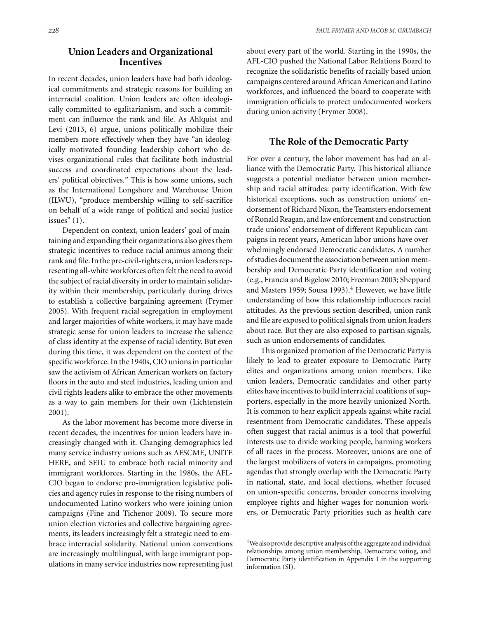#### **Union Leaders and Organizational Incentives**

In recent decades, union leaders have had both ideological commitments and strategic reasons for building an interracial coalition. Union leaders are often ideologically committed to egalitarianism, and such a commitment can influence the rank and file. As Ahlquist and Levi (2013, 6) argue, unions politically mobilize their members more effectively when they have "an ideologically motivated founding leadership cohort who devises organizational rules that facilitate both industrial success and coordinated expectations about the leaders' political objectives." This is how some unions, such as the International Longshore and Warehouse Union (ILWU), "produce membership willing to self-sacrifice on behalf of a wide range of political and social justice issues"  $(1)$ .

Dependent on context, union leaders' goal of maintaining and expanding their organizations also gives them strategic incentives to reduce racial animus among their rank and file. In the pre-civil-rights era, union leaders representing all-white workforces often felt the need to avoid the subject of racial diversity in order to maintain solidarity within their membership, particularly during drives to establish a collective bargaining agreement (Frymer 2005). With frequent racial segregation in employment and larger majorities of white workers, it may have made strategic sense for union leaders to increase the salience of class identity at the expense of racial identity. But even during this time, it was dependent on the context of the specific workforce. In the 1940s, CIO unions in particular saw the activism of African American workers on factory floors in the auto and steel industries, leading union and civil rights leaders alike to embrace the other movements as a way to gain members for their own (Lichtenstein 2001).

As the labor movement has become more diverse in recent decades, the incentives for union leaders have increasingly changed with it. Changing demographics led many service industry unions such as AFSCME, UNITE HERE, and SEIU to embrace both racial minority and immigrant workforces. Starting in the 1980s, the AFL-CIO began to endorse pro-immigration legislative policies and agency rules in response to the rising numbers of undocumented Latino workers who were joining union campaigns (Fine and Tichenor 2009). To secure more union election victories and collective bargaining agreements, its leaders increasingly felt a strategic need to embrace interracial solidarity. National union conventions are increasingly multilingual, with large immigrant populations in many service industries now representing just

about every part of the world. Starting in the 1990s, the AFL-CIO pushed the National Labor Relations Board to recognize the solidaristic benefits of racially based union campaigns centered around African American and Latino workforces, and influenced the board to cooperate with immigration officials to protect undocumented workers during union activity (Frymer 2008).

#### **The Role of the Democratic Party**

For over a century, the labor movement has had an alliance with the Democratic Party. This historical alliance suggests a potential mediator between union membership and racial attitudes: party identification. With few historical exceptions, such as construction unions' endorsement of Richard Nixon, the Teamsters endorsement of Ronald Reagan, and law enforcement and construction trade unions' endorsement of different Republican campaigns in recent years, American labor unions have overwhelmingly endorsed Democratic candidates. A number of studies document the association between union membership and Democratic Party identification and voting (e.g., Francia and Bigelow 2010; Freeman 2003; Sheppard and Masters 1959; Sousa 1993). $4$  However, we have little understanding of how this relationship influences racial attitudes. As the previous section described, union rank and file are exposed to political signals from union leaders about race. But they are also exposed to partisan signals, such as union endorsements of candidates.

This organized promotion of the Democratic Party is likely to lead to greater exposure to Democratic Party elites and organizations among union members. Like union leaders, Democratic candidates and other party elites have incentives to build interracial coalitions of supporters, especially in the more heavily unionized North. It is common to hear explicit appeals against white racial resentment from Democratic candidates. These appeals often suggest that racial animus is a tool that powerful interests use to divide working people, harming workers of all races in the process. Moreover, unions are one of the largest mobilizers of voters in campaigns, promoting agendas that strongly overlap with the Democratic Party in national, state, and local elections, whether focused on union-specific concerns, broader concerns involving employee rights and higher wages for nonunion workers, or Democratic Party priorities such as health care

<sup>&</sup>lt;sup>4</sup>We also provide descriptive analysis of the aggregate and individual relationships among union membership, Democratic voting, and Democratic Party identification in Appendix 1 in the supporting information (SI).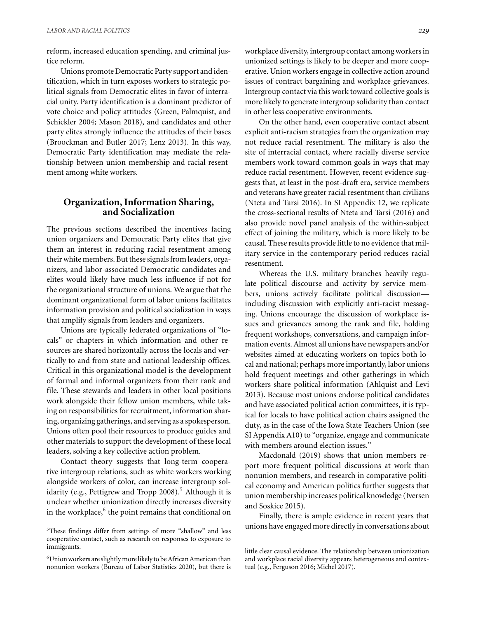reform, increased education spending, and criminal justice reform.

Unions promote Democratic Party support and identification, which in turn exposes workers to strategic political signals from Democratic elites in favor of interracial unity. Party identification is a dominant predictor of vote choice and policy attitudes (Green, Palmquist, and Schickler 2004; Mason 2018), and candidates and other party elites strongly influence the attitudes of their bases (Broockman and Butler 2017; Lenz 2013). In this way, Democratic Party identification may mediate the relationship between union membership and racial resentment among white workers.

#### **Organization, Information Sharing, and Socialization**

The previous sections described the incentives facing union organizers and Democratic Party elites that give them an interest in reducing racial resentment among their white members. But these signals from leaders, organizers, and labor-associated Democratic candidates and elites would likely have much less influence if not for the organizational structure of unions. We argue that the dominant organizational form of labor unions facilitates information provision and political socialization in ways that amplify signals from leaders and organizers.

Unions are typically federated organizations of "locals" or chapters in which information and other resources are shared horizontally across the locals and vertically to and from state and national leadership offices. Critical in this organizational model is the development of formal and informal organizers from their rank and file. These stewards and leaders in other local positions work alongside their fellow union members, while taking on responsibilities for recruitment, information sharing, organizing gatherings, and serving as a spokesperson. Unions often pool their resources to produce guides and other materials to support the development of these local leaders, solving a key collective action problem.

Contact theory suggests that long-term cooperative intergroup relations, such as white workers working alongside workers of color, can increase intergroup solidarity (e.g., Pettigrew and Tropp 2008).<sup>5</sup> Although it is unclear whether unionization directly increases diversity in the workplace, $6$  the point remains that conditional on workplace diversity, intergroup contact among workers in unionized settings is likely to be deeper and more cooperative. Union workers engage in collective action around issues of contract bargaining and workplace grievances. Intergroup contact via this work toward collective goals is more likely to generate intergroup solidarity than contact in other less cooperative environments.

On the other hand, even cooperative contact absent explicit anti-racism strategies from the organization may not reduce racial resentment. The military is also the site of interracial contact, where racially diverse service members work toward common goals in ways that may reduce racial resentment. However, recent evidence suggests that, at least in the post-draft era, service members and veterans have greater racial resentment than civilians (Nteta and Tarsi 2016). In SI Appendix 12, we replicate the cross-sectional results of Nteta and Tarsi (2016) and also provide novel panel analysis of the within-subject effect of joining the military, which is more likely to be causal. These results provide little to no evidence that military service in the contemporary period reduces racial resentment.

Whereas the U.S. military branches heavily regulate political discourse and activity by service members, unions actively facilitate political discussion including discussion with explicitly anti-racist messaging. Unions encourage the discussion of workplace issues and grievances among the rank and file, holding frequent workshops, conversations, and campaign information events. Almost all unions have newspapers and/or websites aimed at educating workers on topics both local and national; perhaps more importantly, labor unions hold frequent meetings and other gatherings in which workers share political information (Ahlquist and Levi 2013). Because most unions endorse political candidates and have associated political action committees, it is typical for locals to have political action chairs assigned the duty, as in the case of the Iowa State Teachers Union (see SI Appendix A10) to "organize, engage and communicate with members around election issues."

Macdonald (2019) shows that union members report more frequent political discussions at work than nonunion members, and research in comparative political economy and American politics further suggests that union membership increases political knowledge (Iversen and Soskice 2015).

Finally, there is ample evidence in recent years that unions have engaged more directly in conversations about

<sup>5</sup>These findings differ from settings of more "shallow" and less cooperative contact, such as research on responses to exposure to immigrants.

<sup>6</sup>Union workers are slightly more likely to be African American than nonunion workers (Bureau of Labor Statistics 2020), but there is

little clear causal evidence. The relationship between unionization and workplace racial diversity appears heterogeneous and contextual (e.g., Ferguson 2016; Michel 2017).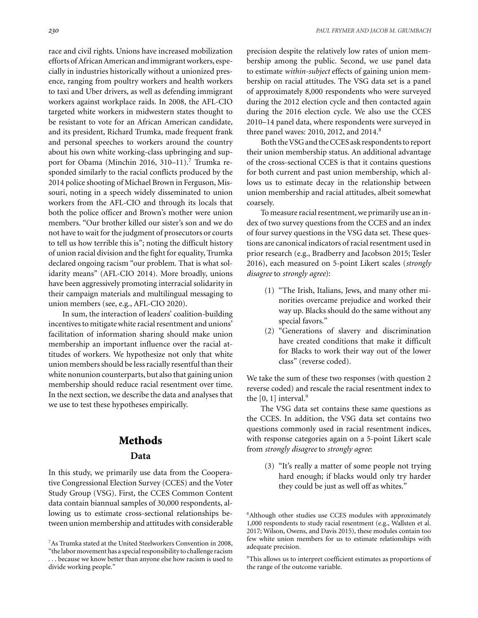race and civil rights. Unions have increased mobilization efforts of African American and immigrant workers, especially in industries historically without a unionized presence, ranging from poultry workers and health workers to taxi and Uber drivers, as well as defending immigrant workers against workplace raids. In 2008, the AFL-CIO targeted white workers in midwestern states thought to be resistant to vote for an African American candidate, and its president, Richard Trumka, made frequent frank and personal speeches to workers around the country about his own white working-class upbringing and support for Obama (Minchin 2016, 310–11).<sup>7</sup> Trumka responded similarly to the racial conflicts produced by the 2014 police shooting of Michael Brown in Ferguson, Missouri, noting in a speech widely disseminated to union workers from the AFL-CIO and through its locals that both the police officer and Brown's mother were union members. "Our brother killed our sister's son and we do not have to wait for the judgment of prosecutors or courts to tell us how terrible this is"; noting the difficult history of union racial division and the fight for equality, Trumka declared ongoing racism "our problem. That is what solidarity means" (AFL-CIO 2014). More broadly, unions have been aggressively promoting interracial solidarity in their campaign materials and multilingual messaging to union members (see, e.g., AFL-CIO 2020).

In sum, the interaction of leaders' coalition-building incentives to mitigate white racial resentment and unions' facilitation of information sharing should make union membership an important influence over the racial attitudes of workers. We hypothesize not only that white union members should be less racially resentful than their white nonunion counterparts, but also that gaining union membership should reduce racial resentment over time. In the next section, we describe the data and analyses that we use to test these hypotheses empirically.

#### **Methods**

#### **Data**

In this study, we primarily use data from the Cooperative Congressional Election Survey (CCES) and the Voter Study Group (VSG). First, the CCES Common Content data contain biannual samples of 30,000 respondents, allowing us to estimate cross-sectional relationships between union membership and attitudes with considerable precision despite the relatively low rates of union membership among the public. Second, we use panel data to estimate *within-subject* effects of gaining union membership on racial attitudes. The VSG data set is a panel of approximately 8,000 respondents who were surveyed during the 2012 election cycle and then contacted again during the 2016 election cycle. We also use the CCES 2010–14 panel data, where respondents were surveyed in three panel waves: 2010, 2012, and 2014. $8$ 

Both the VSG and the CCES ask respondents to report their union membership status. An additional advantage of the cross-sectional CCES is that it contains questions for both current and past union membership, which allows us to estimate decay in the relationship between union membership and racial attitudes, albeit somewhat coarsely.

To measure racial resentment, we primarily use an index of two survey questions from the CCES and an index of four survey questions in the VSG data set. These questions are canonical indicators of racial resentment used in prior research (e.g., Bradberry and Jacobson 2015; Tesler 2016), each measured on 5-point Likert scales (*strongly disagree* to *strongly agree*):

- (1) "The Irish, Italians, Jews, and many other minorities overcame prejudice and worked their way up. Blacks should do the same without any special favors."
- (2) "Generations of slavery and discrimination have created conditions that make it difficult for Blacks to work their way out of the lower class" (reverse coded).

We take the sum of these two responses (with question 2 reverse coded) and rescale the racial resentment index to the  $[0, 1]$  interval.<sup>9</sup>

The VSG data set contains these same questions as the CCES. In addition, the VSG data set contains two questions commonly used in racial resentment indices, with response categories again on a 5-point Likert scale from *strongly disagree* to *strongly agree*:

(3) "It's really a matter of some people not trying hard enough; if blacks would only try harder they could be just as well off as whites."

<sup>8</sup> Although other studies use CCES modules with approximately 1,000 respondents to study racial resentment (e.g., Wallsten et al. 2017; Wilson, Owens, and Davis 2015), these modules contain too few white union members for us to estimate relationships with adequate precision.

<sup>9</sup>This allows us to interpret coefficient estimates as proportions of the range of the outcome variable.

<sup>7</sup>As Trumka stated at the United Steelworkers Convention in 2008, "the labor movement has a special responsibility to challenge racism

<sup>. . .</sup> because we know better than anyone else how racism is used to divide working people."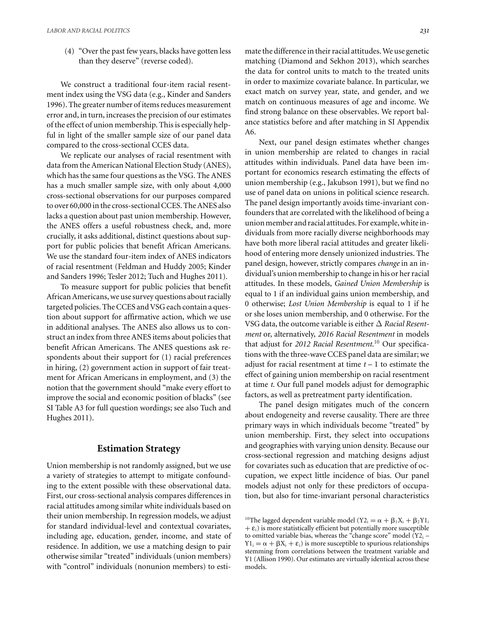(4) "Over the past few years, blacks have gotten less than they deserve" (reverse coded).

We construct a traditional four-item racial resentment index using the VSG data (e.g., Kinder and Sanders 1996). The greater number of items reduces measurement error and, in turn, increases the precision of our estimates of the effect of union membership. This is especially helpful in light of the smaller sample size of our panel data compared to the cross-sectional CCES data.

We replicate our analyses of racial resentment with data from the American National Election Study (ANES), which has the same four questions as the VSG. The ANES has a much smaller sample size, with only about 4,000 cross-sectional observations for our purposes compared to over 60,000 in the cross-sectional CCES. The ANES also lacks a question about past union membership. However, the ANES offers a useful robustness check, and, more crucially, it asks additional, distinct questions about support for public policies that benefit African Americans. We use the standard four-item index of ANES indicators of racial resentment (Feldman and Huddy 2005; Kinder and Sanders 1996; Tesler 2012; Tuch and Hughes 2011).

To measure support for public policies that benefit African Americans, we use survey questions about racially targeted policies. The CCES and VSG each contain a question about support for affirmative action, which we use in additional analyses. The ANES also allows us to construct an index from three ANES items about policies that benefit African Americans. The ANES questions ask respondents about their support for (1) racial preferences in hiring, (2) government action in support of fair treatment for African Americans in employment, and (3) the notion that the government should "make every effort to improve the social and economic position of blacks" (see SI Table A3 for full question wordings; see also Tuch and Hughes 2011).

#### **Estimation Strategy**

Union membership is not randomly assigned, but we use a variety of strategies to attempt to mitigate confounding to the extent possible with these observational data. First, our cross-sectional analysis compares differences in racial attitudes among similar white individuals based on their union membership. In regression models, we adjust for standard individual-level and contextual covariates, including age, education, gender, income, and state of residence. In addition, we use a matching design to pair otherwise similar "treated" individuals (union members) with "control" individuals (nonunion members) to esti-

mate the difference in their racial attitudes.We use genetic matching (Diamond and Sekhon 2013), which searches the data for control units to match to the treated units in order to maximize covariate balance. In particular, we exact match on survey year, state, and gender, and we match on continuous measures of age and income. We find strong balance on these observables. We report balance statistics before and after matching in SI Appendix A6.

Next, our panel design estimates whether changes in union membership are related to changes in racial attitudes within individuals. Panel data have been important for economics research estimating the effects of union membership (e.g., Jakubson 1991), but we find no use of panel data on unions in political science research. The panel design importantly avoids time-invariant confounders that are correlated with the likelihood of being a union member and racial attitudes. For example, white individuals from more racially diverse neighborhoods may have both more liberal racial attitudes and greater likelihood of entering more densely unionized industries. The panel design, however, strictly compares *change* in an individual's union membership to change in his or her racial attitudes. In these models, *Gained Union Membership* is equal to 1 if an individual gains union membership, and 0 otherwise; *Lost Union Membership* is equal to 1 if he or she loses union membership, and 0 otherwise. For the VSG data, the outcome variable is either  $\Delta$  *Racial Resentment* or, alternatively, *2016 Racial Resentment* in models that adjust for *2012 Racial Resentment*. <sup>10</sup> Our specifications with the three-wave CCES panel data are similar; we adjust for racial resentment at time *t* – 1 to estimate the effect of gaining union membership on racial resentment at time *t*. Our full panel models adjust for demographic factors, as well as pretreatment party identification.

The panel design mitigates much of the concern about endogeneity and reverse causality. There are three primary ways in which individuals become "treated" by union membership. First, they select into occupations and geographies with varying union density. Because our cross-sectional regression and matching designs adjust for covariates such as education that are predictive of occupation, we expect little incidence of bias. Our panel models adjust not only for these predictors of occupation, but also for time-invariant personal characteristics

<sup>&</sup>lt;sup>10</sup>The lagged dependent variable model (Y2<sub>i</sub> =  $\alpha + \beta_1 X_i + \beta_2 Y1_i$  $+ \varepsilon_i$ ) is more statistically efficient but potentially more susceptible to omitted variable bias, whereas the "change score" model  $(Y2<sub>i</sub> Y1_i = \alpha + \beta X_i + \varepsilon_i$  is more susceptible to spurious relationships stemming from correlations between the treatment variable and Y1 (Allison 1990). Our estimates are virtually identical across these models.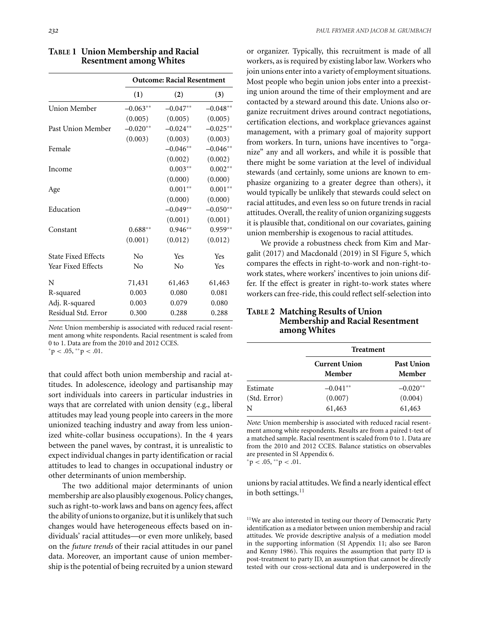|                            | <b>Outcome: Racial Resentment</b> |            |            |
|----------------------------|-----------------------------------|------------|------------|
|                            | (1)                               | (2)        | (3)        |
| Union Member               | $-0.063**$                        | $-0.047**$ | $-0.048**$ |
|                            | (0.005)                           | (0.005)    | (0.005)    |
| Past Union Member          | $-0.020**$                        | $-0.024**$ | $-0.025**$ |
|                            | (0.003)                           | (0.003)    | (0.003)    |
| Female                     |                                   | $-0.046**$ | $-0.046**$ |
|                            |                                   | (0.002)    | (0.002)    |
| Income                     |                                   | $0.003**$  | $0.002**$  |
|                            |                                   | (0.000)    | (0.000)    |
| Age                        |                                   | $0.001**$  | $0.001**$  |
|                            |                                   | (0.000)    | (0.000)    |
| Education                  |                                   | $-0.049**$ | $-0.050**$ |
|                            |                                   | (0.001)    | (0.001)    |
| Constant                   | $0.688**$                         | $0.946**$  | $0.959**$  |
|                            | (0.001)                           | (0.012)    | (0.012)    |
| <b>State Fixed Effects</b> | No                                | Yes        | Yes        |
| <b>Year Fixed Effects</b>  | No                                | No         | Yes        |
| N                          | 71,431                            | 61,463     | 61,463     |
| R-squared                  | 0.003                             | 0.080      | 0.081      |
| Adj. R-squared             | 0.003                             | 0.079      | 0.080      |
| Residual Std. Error        | 0.300                             | 0.288      | 0.288      |
|                            |                                   |            |            |

| <b>TABLE 1 Union Membership and Racial</b> |
|--------------------------------------------|
| <b>Resentment among Whites</b>             |

*Note*: Union membership is associated with reduced racial resentment among white respondents. Racial resentment is scaled from 0 to 1. Data are from the 2010 and 2012 CCES. <sup>∗</sup>p *<* .05, ∗∗p *<* .01.

that could affect both union membership and racial attitudes. In adolescence, ideology and partisanship may sort individuals into careers in particular industries in ways that are correlated with union density (e.g., liberal attitudes may lead young people into careers in the more unionized teaching industry and away from less unionized white-collar business occupations). In the 4 years between the panel waves, by contrast, it is unrealistic to expect individual changes in party identification or racial attitudes to lead to changes in occupational industry or other determinants of union membership.

The two additional major determinants of union membership are also plausibly exogenous. Policy changes, such as right-to-work laws and bans on agency fees, affect the ability of unions to organize, but it is unlikely that such changes would have heterogeneous effects based on individuals' racial attitudes—or even more unlikely, based on the *future trends* of their racial attitudes in our panel data. Moreover, an important cause of union membership is the potential of being recruited by a union steward or organizer. Typically, this recruitment is made of all workers, as is required by existing labor law. Workers who join unions enter into a variety of employment situations. Most people who begin union jobs enter into a preexisting union around the time of their employment and are contacted by a steward around this date. Unions also organize recruitment drives around contract negotiations, certification elections, and workplace grievances against management, with a primary goal of majority support from workers. In turn, unions have incentives to "organize" any and all workers, and while it is possible that there might be some variation at the level of individual stewards (and certainly, some unions are known to emphasize organizing to a greater degree than others), it would typically be unlikely that stewards could select on racial attitudes, and even less so on future trends in racial attitudes. Overall, the reality of union organizing suggests it is plausible that, conditional on our covariates, gaining union membership is exogenous to racial attitudes.

We provide a robustness check from Kim and Margalit (2017) and Macdonald (2019) in SI Figure 5, which compares the effects in right-to-work and non-right-towork states, where workers' incentives to join unions differ. If the effect is greater in right-to-work states where workers can free-ride, this could reflect self-selection into

#### **TABLE 2 Matching Results of Union Membership and Racial Resentment among Whites**

|              | <b>Treatment</b>               |                             |
|--------------|--------------------------------|-----------------------------|
|              | <b>Current Union</b><br>Member | <b>Past Union</b><br>Member |
| Estimate     | $-0.041**$                     | $-0.020**$                  |
| (Std. Error) | (0.007)                        | (0.004)                     |
| N            | 61,463                         | 61,463                      |

*Note*: Union membership is associated with reduced racial resentment among white respondents. Results are from a paired t-test of a matched sample. Racial resentment is scaled from 0 to 1. Data are from the 2010 and 2012 CCES. Balance statistics on observables are presented in SI Appendix 6.  $p < .05,$  \*\*  $p < .01$ .

unions by racial attitudes. We find a nearly identical effect in both settings. $^{11}$ 

<sup>11</sup>We are also interested in testing our theory of Democratic Party identification as a mediator between union membership and racial attitudes. We provide descriptive analysis of a mediation model in the supporting information (SI Appendix 11; also see Baron and Kenny 1986). This requires the assumption that party ID is post-treatment to party ID, an assumption that cannot be directly tested with our cross-sectional data and is underpowered in the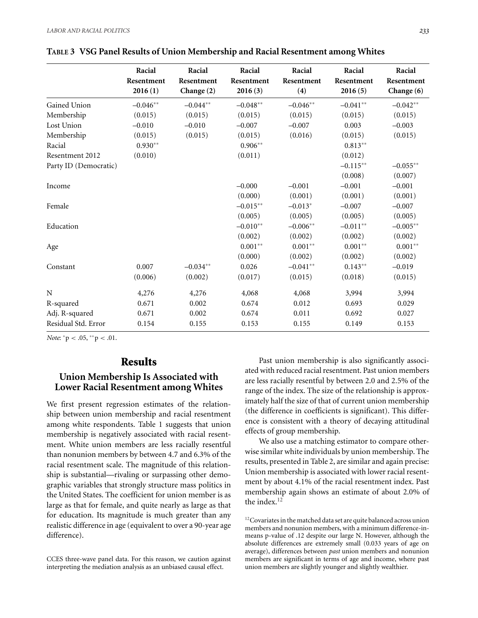|                       | Racial<br>Resentment<br>2016(1) | Racial<br>Resentment<br>Change $(2)$ | Racial<br>Resentment<br>2016(3) | Racial<br>Resentment<br>(4) | Racial<br>Resentment<br>2016(5) | Racial<br>Resentment<br>Change (6) |
|-----------------------|---------------------------------|--------------------------------------|---------------------------------|-----------------------------|---------------------------------|------------------------------------|
| Gained Union          | $-0.046**$                      | $-0.044**$                           | $-0.048**$                      | $-0.046**$                  | $-0.041**$                      | $-0.042**$                         |
| Membership            | (0.015)                         | (0.015)                              | (0.015)                         | (0.015)                     | (0.015)                         | (0.015)                            |
| Lost Union            | $-0.010$                        | $-0.010$                             | $-0.007$                        | $-0.007$                    | 0.003                           | $-0.003$                           |
| Membership            | (0.015)                         | (0.015)                              | (0.015)                         | (0.016)                     | (0.015)                         | (0.015)                            |
| Racial                | $0.930**$                       |                                      | $0.906**$                       |                             | $0.813**$                       |                                    |
| Resentment 2012       | (0.010)                         |                                      | (0.011)                         |                             | (0.012)                         |                                    |
| Party ID (Democratic) |                                 |                                      |                                 |                             | $-0.115**$                      | $-0.055**$                         |
|                       |                                 |                                      |                                 |                             | (0.008)                         | (0.007)                            |
| Income                |                                 |                                      | $-0.000$                        | $-0.001$                    | $-0.001$                        | $-0.001$                           |
|                       |                                 |                                      | (0.000)                         | (0.001)                     | (0.001)                         | (0.001)                            |
| Female                |                                 |                                      | $-0.015**$                      | $-0.013*$                   | $-0.007$                        | $-0.007$                           |
|                       |                                 |                                      | (0.005)                         | (0.005)                     | (0.005)                         | (0.005)                            |
| Education             |                                 |                                      | $-0.010**$                      | $-0.006**$                  | $-0.011**$                      | $-0.005**$                         |
|                       |                                 |                                      | (0.002)                         | (0.002)                     | (0.002)                         | (0.002)                            |
| Age                   |                                 |                                      | $0.001**$                       | $0.001**$                   | $0.001**$                       | $0.001**$                          |
|                       |                                 |                                      | (0.000)                         | (0.002)                     | (0.002)                         | (0.002)                            |
| Constant              | 0.007                           | $-0.034**$                           | 0.026                           | $-0.041**$                  | $0.143**$                       | $-0.019$                           |
|                       | (0.006)                         | (0.002)                              | (0.017)                         | (0.015)                     | (0.018)                         | (0.015)                            |
| N                     | 4,276                           | 4,276                                | 4,068                           | 4,068                       | 3,994                           | 3,994                              |
| R-squared             | 0.671                           | 0.002                                | 0.674                           | 0.012                       | 0.693                           | 0.029                              |
| Adj. R-squared        | 0.671                           | 0.002                                | 0.674                           | 0.011                       | 0.692                           | 0.027                              |
| Residual Std. Error   | 0.154                           | 0.155                                | 0.153                           | 0.155                       | 0.149                           | 0.153                              |

*Note*: <sup>∗</sup>p *<* .05, ∗∗p *<* .01.

### **Results**

#### **Union Membership Is Associated with Lower Racial Resentment among Whites**

We first present regression estimates of the relationship between union membership and racial resentment among white respondents. Table 1 suggests that union membership is negatively associated with racial resentment. White union members are less racially resentful than nonunion members by between 4.7 and 6.3% of the racial resentment scale. The magnitude of this relationship is substantial—rivaling or surpassing other demographic variables that strongly structure mass politics in the United States. The coefficient for union member is as large as that for female, and quite nearly as large as that for education. Its magnitude is much greater than any realistic difference in age (equivalent to over a 90-year age difference).

CCES three-wave panel data. For this reason, we caution against interpreting the mediation analysis as an unbiased causal effect.

Past union membership is also significantly associated with reduced racial resentment. Past union members are less racially resentful by between 2.0 and 2.5% of the range of the index. The size of the relationship is approximately half the size of that of current union membership (the difference in coefficients is significant). This difference is consistent with a theory of decaying attitudinal effects of group membership.

We also use a matching estimator to compare otherwise similar white individuals by union membership. The results, presented in Table 2, are similar and again precise: Union membership is associated with lower racial resentment by about 4.1% of the racial resentment index. Past membership again shows an estimate of about 2.0% of the index. $12$ 

 $^{12}$  Covariates in the matched data set are quite balanced across union members and nonunion members, with a minimum difference-inmeans p-value of .12 despite our large N. However, although the absolute differences are extremely small (0.033 years of age on average), differences between *past* union members and nonunion members are significant in terms of age and income, where past union members are slightly younger and slightly wealthier.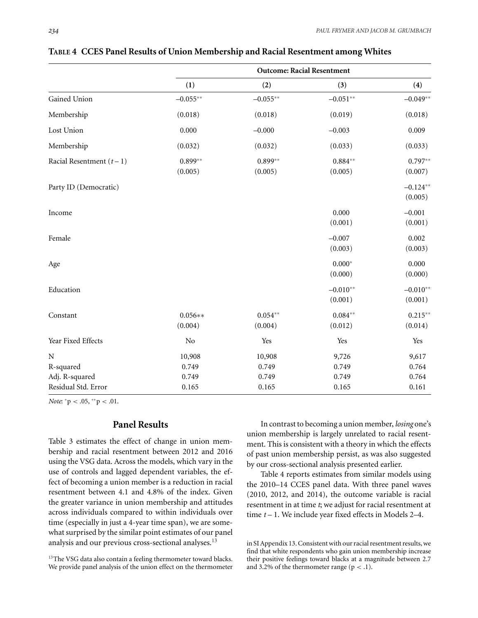|                           | <b>Outcome: Racial Resentment</b> |                      |                       |                       |
|---------------------------|-----------------------------------|----------------------|-----------------------|-----------------------|
|                           | (1)                               | (2)                  | (3)                   | (4)                   |
| Gained Union              | $-0.055**$                        | $-0.055**$           | $-0.051**$            | $-0.049**$            |
| Membership                | (0.018)                           | (0.018)              | (0.019)               | (0.018)               |
| Lost Union                | 0.000                             | $-0.000$             | $-0.003$              | 0.009                 |
| Membership                | (0.032)                           | (0.032)              | (0.033)               | (0.033)               |
| Racial Resentment $(t-1)$ | $0.899**$<br>(0.005)              | $0.899**$<br>(0.005) | $0.884**$<br>(0.005)  | $0.797**$<br>(0.007)  |
| Party ID (Democratic)     |                                   |                      |                       | $-0.124**$<br>(0.005) |
| Income                    |                                   |                      | 0.000<br>(0.001)      | $-0.001$<br>(0.001)   |
| Female                    |                                   |                      | $-0.007$<br>(0.003)   | 0.002<br>(0.003)      |
| Age                       |                                   |                      | $0.000*$<br>(0.000)   | 0.000<br>(0.000)      |
| Education                 |                                   |                      | $-0.010**$<br>(0.001) | $-0.010**$<br>(0.001) |
| Constant                  | $0.056**$<br>(0.004)              | $0.054**$<br>(0.004) | $0.084**$<br>(0.012)  | $0.215**$<br>(0.014)  |
| Year Fixed Effects        | $\rm No$                          | Yes                  | Yes                   | Yes                   |
| N<br>R-squared            | 10,908<br>0.749                   | 10,908<br>0.749      | 9,726<br>0.749        | 9,617<br>0.764        |
| Adj. R-squared            | 0.749                             | 0.749                | 0.749                 | 0.764                 |
| Residual Std. Error       | 0.165                             | 0.165                | 0.165                 | 0.161                 |

**TABLE 4 CCES Panel Results of Union Membership and Racial Resentment among Whites**

*Note*: <sup>∗</sup>p *<* .05, ∗∗p *<* .01.

#### **Panel Results**

Table 3 estimates the effect of change in union membership and racial resentment between 2012 and 2016 using the VSG data. Across the models, which vary in the use of controls and lagged dependent variables, the effect of becoming a union member is a reduction in racial resentment between 4.1 and 4.8% of the index. Given the greater variance in union membership and attitudes across individuals compared to within individuals over time (especially in just a 4-year time span), we are somewhat surprised by the similar point estimates of our panel analysis and our previous cross-sectional analyses.<sup>13</sup>

In contrast to becoming a union member, *losing* one's union membership is largely unrelated to racial resentment. This is consistent with a theory in which the effects of past union membership persist, as was also suggested by our cross-sectional analysis presented earlier.

Table 4 reports estimates from similar models using the 2010–14 CCES panel data. With three panel waves (2010, 2012, and 2014), the outcome variable is racial resentment in at time *t*; we adjust for racial resentment at time *t* – 1. We include year fixed effects in Models 2–4.

in SI Appendix 13. Consistent with our racial resentment results, we find that white respondents who gain union membership increase their positive feelings toward blacks at a magnitude between 2.7 and 3.2% of the thermometer range  $(p < .1)$ .

<sup>&</sup>lt;sup>13</sup>The VSG data also contain a feeling thermometer toward blacks. We provide panel analysis of the union effect on the thermometer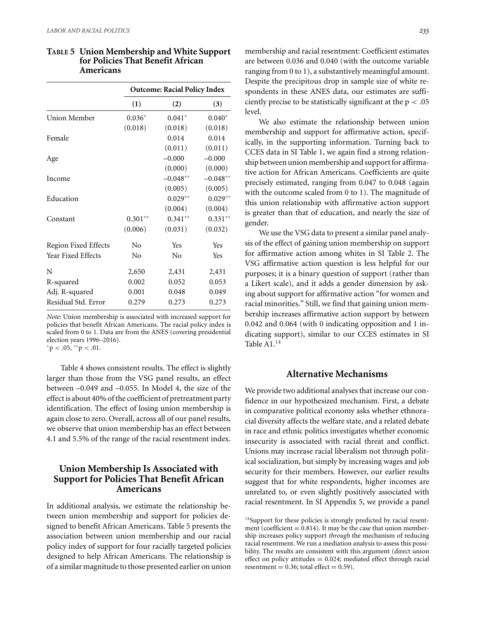|                             | <b>Outcome: Racial Policy Index</b> |            |            |
|-----------------------------|-------------------------------------|------------|------------|
|                             | (1)                                 | (2)        | (3)        |
| Union Member                | $0.036*$                            | $0.041*$   | $0.040*$   |
|                             | (0.018)                             | (0.018)    | (0.018)    |
| Female                      |                                     | 0.014      | 0.014      |
|                             |                                     | (0.011)    | (0.011)    |
| Age                         |                                     | $-0.000$   | $-0.000$   |
|                             |                                     | (0.000)    | (0.000)    |
| Income                      |                                     | $-0.048**$ | $-0.048**$ |
|                             |                                     | (0.005)    | (0.005)    |
| Education                   |                                     | $0.029**$  | $0.029**$  |
|                             |                                     | (0.004)    | (0.004)    |
| Constant                    | $0.301**$                           | $0.341**$  | $0.331**$  |
|                             | (0.006)                             | (0.031)    | (0.032)    |
| <b>Region Fixed Effects</b> | No                                  | Yes        | Yes        |
| Year Fixed Effects          | No                                  | No         | Yes        |
| N                           | 2,650                               | 2,431      | 2,431      |
| R-squared                   | 0.002                               | 0.052      | 0.053      |
| Adj. R-squared              | 0.001                               | 0.048      | 0.049      |
| Residual Std. Error         | 0.279                               | 0.273      | 0.273      |

#### **TABLE 5 Union Membership and White Support for Policies That Benefit African Americans**

*Note*: Union membership is associated with increased support for policies that benefit African Americans. The racial policy index is scaled from 0 to 1. Data are from the ANES (covering presidential election years 1996–2016).

<sup>∗</sup>p *<* .05, ∗∗p *<* .01.

Table 4 shows consistent results. The effect is slightly larger than those from the VSG panel results, an effect between –0.049 and –0.055. In Model 4, the size of the effect is about 40% of the coefficient of pretreatment party identification. The effect of losing union membership is again close to zero. Overall, across all of our panel results, we observe that union membership has an effect between 4.1 and 5.5% of the range of the racial resentment index.

#### **Union Membership Is Associated with Support for Policies That Benefit African Americans**

In additional analysis, we estimate the relationship between union membership and support for policies designed to benefit African Americans. Table 5 presents the association between union membership and our racial policy index of support for four racially targeted policies designed to help African Americans. The relationship is of a similar magnitude to those presented earlier on union

membership and racial resentment: Coefficient estimates are between 0.036 and 0.040 (with the outcome variable ranging from 0 to 1), a substantively meaningful amount. Despite the precipitous drop in sample size of white respondents in these ANES data, our estimates are sufficiently precise to be statistically significant at the p *<* .05 level.

We also estimate the relationship between union membership and support for affirmative action, specifically, in the supporting information. Turning back to CCES data in SI Table 1, we again find a strong relationship between union membership and support for affirmative action for African Americans. Coefficients are quite precisely estimated, ranging from 0.047 to 0.048 (again with the outcome scaled from 0 to 1). The magnitude of this union relationship with affirmative action support is greater than that of education, and nearly the size of gender.

We use the VSG data to present a similar panel analysis of the effect of gaining union membership on support for affirmative action among whites in SI Table 2. The VSG affirmative action question is less helpful for our purposes; it is a binary question of support (rather than a Likert scale), and it adds a gender dimension by asking about support for affirmative action "for women and racial minorities." Still, we find that gaining union membership increases affirmative action support by between 0.042 and 0.064 (with 0 indicating opposition and 1 indicating support), similar to our CCES estimates in SI Table A1.14

#### **Alternative Mechanisms**

We provide two additional analyses that increase our confidence in our hypothesized mechanism. First, a debate in comparative political economy asks whether ethnoracial diversity affects the welfare state, and a related debate in race and ethnic politics investigates whether economic insecurity is associated with racial threat and conflict. Unions may increase racial liberalism not through political socialization, but simply by increasing wages and job security for their members. However, our earlier results suggest that for white respondents, higher incomes are unrelated to, or even slightly positively associated with racial resentment. In SI Appendix 5, we provide a panel

<sup>&</sup>lt;sup>14</sup>Support for these policies is strongly predicted by racial resentment (coefficient  $= 0.814$ ). It may be the case that union membership increases policy support *through* the mechanism of reducing racial resentment. We run a mediation analysis to assess this possibility. The results are consistent with this argument (direct union effect on policy attitudes  $= 0.024$ ; mediated effect through racial resentment =  $0.36$ ; total effect =  $0.59$ ).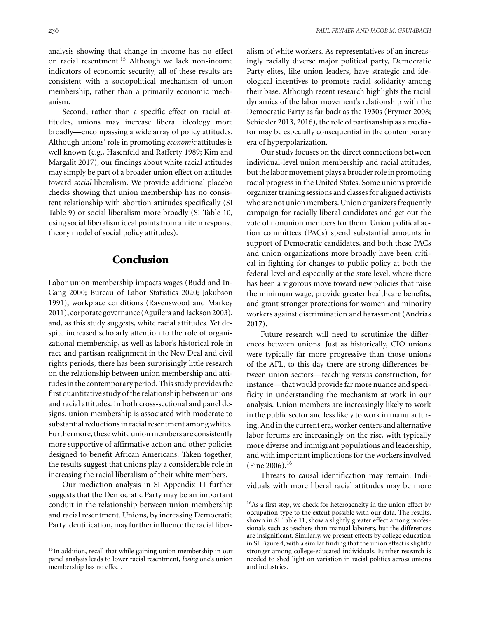Second, rather than a specific effect on racial attitudes, unions may increase liberal ideology more broadly—encompassing a wide array of policy attitudes. Although unions' role in promoting *economic* attitudes is well known (e.g., Hasenfeld and Rafferty 1989; Kim and Margalit 2017), our findings about white racial attitudes may simply be part of a broader union effect on attitudes toward *social* liberalism. We provide additional placebo checks showing that union membership has no consistent relationship with abortion attitudes specifically (SI Table 9) or social liberalism more broadly (SI Table 10, using social liberalism ideal points from an item response theory model of social policy attitudes).

# **Conclusion**

Labor union membership impacts wages (Budd and In-Gang 2000; Bureau of Labor Statistics 2020; Jakubson 1991), workplace conditions (Ravenswood and Markey 2011), corporate governance (Aguilera and Jackson 2003), and, as this study suggests, white racial attitudes. Yet despite increased scholarly attention to the role of organizational membership, as well as labor's historical role in race and partisan realignment in the New Deal and civil rights periods, there has been surprisingly little research on the relationship between union membership and attitudes in the contemporary period. This study provides the first quantitative study of the relationship between unions and racial attitudes. In both cross-sectional and panel designs, union membership is associated with moderate to substantial reductions in racial resentment among whites. Furthermore, these white union members are consistently more supportive of affirmative action and other policies designed to benefit African Americans. Taken together, the results suggest that unions play a considerable role in increasing the racial liberalism of their white members.

Our mediation analysis in SI Appendix 11 further suggests that the Democratic Party may be an important conduit in the relationship between union membership and racial resentment. Unions, by increasing Democratic Party identification, mayfurther influence the racial liberalism of white workers. As representatives of an increasingly racially diverse major political party, Democratic Party elites, like union leaders, have strategic and ideological incentives to promote racial solidarity among their base. Although recent research highlights the racial dynamics of the labor movement's relationship with the Democratic Party as far back as the 1930s (Frymer 2008; Schickler 2013, 2016), the role of partisanship as a mediator may be especially consequential in the contemporary era of hyperpolarization.

Our study focuses on the direct connections between individual-level union membership and racial attitudes, but the labor movement plays a broader role in promoting racial progress in the United States. Some unions provide organizer training sessions and classes for aligned activists who are not union members. Union organizers frequently campaign for racially liberal candidates and get out the vote of nonunion members for them. Union political action committees (PACs) spend substantial amounts in support of Democratic candidates, and both these PACs and union organizations more broadly have been critical in fighting for changes to public policy at both the federal level and especially at the state level, where there has been a vigorous move toward new policies that raise the minimum wage, provide greater healthcare benefits, and grant stronger protections for women and minority workers against discrimination and harassment (Andrias 2017).

Future research will need to scrutinize the differences between unions. Just as historically, CIO unions were typically far more progressive than those unions of the AFL, to this day there are strong differences between union sectors—teaching versus construction, for instance—that would provide far more nuance and specificity in understanding the mechanism at work in our analysis. Union members are increasingly likely to work in the public sector and less likely to work in manufacturing. And in the current era, worker centers and alternative labor forums are increasingly on the rise, with typically more diverse and immigrant populations and leadership, and with important implications for the workers involved (Fine 2006).<sup>16</sup>

Threats to causal identification may remain. Individuals with more liberal racial attitudes may be more

<sup>&</sup>lt;sup>15</sup>In addition, recall that while gaining union membership in our panel analysis leads to lower racial resentment, *losing* one's union membership has no effect.

<sup>&</sup>lt;sup>16</sup>As a first step, we check for heterogeneity in the union effect by occupation type to the extent possible with our data. The results, shown in SI Table 11, show a slightly greater effect among professionals such as teachers than manual laborers, but the differences are insignificant. Similarly, we present effects by college education in SI Figure 4, with a similar finding that the union effect is slightly stronger among college-educated individuals. Further research is needed to shed light on variation in racial politics across unions and industries.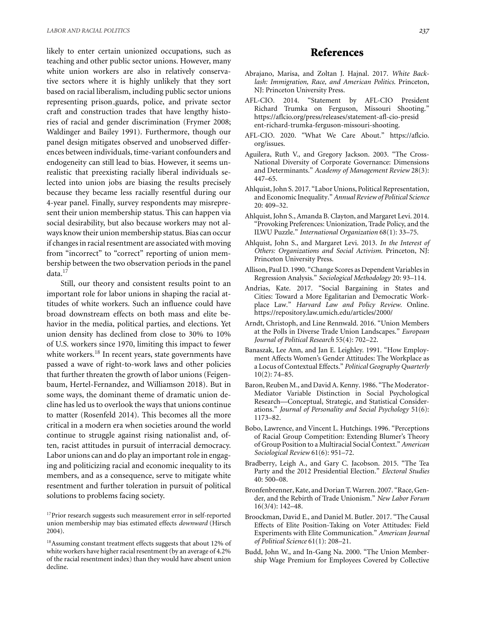likely to enter certain unionized occupations, such as teaching and other public sector unions. However, many white union workers are also in relatively conservative sectors where it is highly unlikely that they sort based on racial liberalism, including public sector unions representing prison guards, police, and private sector craft and construction trades that have lengthy histories of racial and gender discrimination (Frymer 2008; Waldinger and Bailey 1991). Furthermore, though our panel design mitigates observed and unobserved differences between individuals, time-variant confounders and endogeneity can still lead to bias. However, it seems unrealistic that preexisting racially liberal individuals selected into union jobs are biasing the results precisely because they became less racially resentful during our 4-year panel. Finally, survey respondents may misrepresent their union membership status. This can happen via social desirability, but also because workers may not always know their union membership status. Bias can occur if changes in racial resentment are associated with moving from "incorrect" to "correct" reporting of union membership between the two observation periods in the panel data.<sup>17</sup>

Still, our theory and consistent results point to an important role for labor unions in shaping the racial attitudes of white workers. Such an influence could have broad downstream effects on both mass and elite behavior in the media, political parties, and elections. Yet union density has declined from close to 30% to 10% of U.S. workers since 1970, limiting this impact to fewer white workers.<sup>18</sup> In recent years, state governments have passed a wave of right-to-work laws and other policies that further threaten the growth of labor unions (Feigenbaum, Hertel-Fernandez, and Williamson 2018). But in some ways, the dominant theme of dramatic union decline has led us to overlook the ways that unions continue to matter (Rosenfeld 2014). This becomes all the more critical in a modern era when societies around the world continue to struggle against rising nationalist and, often, racist attitudes in pursuit of interracial democracy. Labor unions can and do play an important role in engaging and politicizing racial and economic inequality to its members, and as a consequence, serve to mitigate white resentment and further toleration in pursuit of political solutions to problems facing society.

# **References**

- Abrajano, Marisa, and Zoltan J. Hajnal. 2017. *White Backlash: Immigration, Race, and American Politics*. Princeton, NJ: Princeton University Press.
- AFL-CIO. 2014. "Statement by AFL-CIO President Richard Trumka on Ferguson, Missouri Shooting." [https://aflcio.org/press/releases/statement-afl-cio-presid](https://aflcio.org/press/releases/statement-afl-cio-president-richard-trumka-ferguson-missouri-shooting) [ent-richard-trumka-ferguson-missouri-shooting.](https://aflcio.org/press/releases/statement-afl-cio-president-richard-trumka-ferguson-missouri-shooting)
- AFL-CIO. 2020. "What We Care About." [https://aflcio.](https://aflcio.org/issues) [org/issues.](https://aflcio.org/issues)
- Aguilera, Ruth V., and Gregory Jackson. 2003. "The Cross-National Diversity of Corporate Governance: Dimensions and Determinants." *Academy of Management Review* 28(3): 447–65.
- Ahlquist, John S. 2017. "Labor Unions, Political Representation, and Economic Inequality."*Annual Review of Political Science* 20: 409–32.
- Ahlquist, John S., Amanda B. Clayton, and Margaret Levi. 2014. "Provoking Preferences: Unionization, Trade Policy, and the ILWU Puzzle." *International Organization* 68(1): 33–75.
- Ahlquist, John S., and Margaret Levi. 2013. *In the Interest of Others: Organizations and Social Activism*. Princeton, NJ: Princeton University Press.
- Allison, Paul D. 1990. "Change Scores as Dependent Variables in Regression Analysis." *Sociological Methodology* 20: 93–114.
- Andrias, Kate. 2017. "Social Bargaining in States and Cities: Toward a More Egalitarian and Democratic Workplace Law." *Harvard Law and Policy Review*. Online. <https://repository.law.umich.edu/articles/2000/>
- Arndt, Christoph, and Line Rennwald. 2016. "Union Members at the Polls in Diverse Trade Union Landscapes." *European Journal of Political Research* 55(4): 702–22.
- Banaszak, Lee Ann, and Jan E. Leighley. 1991. "How Employment Affects Women's Gender Attitudes: The Workplace as a Locus of Contextual Effects." *Political Geography Quarterly* 10(2): 74–85.
- Baron, Reuben M., and David A. Kenny. 1986. "The Moderator-Mediator Variable Distinction in Social Psychological Research—Conceptual, Strategic, and Statistical Considerations." *Journal of Personality and Social Psychology* 51(6): 1173–82.
- Bobo, Lawrence, and Vincent L. Hutchings. 1996. "Perceptions of Racial Group Competition: Extending Blumer's Theory of Group Position to a Multiracial Social Context." *American Sociological Review* 61(6): 951–72.
- Bradberry, Leigh A., and Gary C. Jacobson. 2015. "The Tea Party and the 2012 Presidential Election." *Electoral Studies* 40: 500–08.
- Bronfenbrenner, Kate, and Dorian T.Warren. 2007. "Race, Gender, and the Rebirth of Trade Unionism." *New Labor Forum* 16(3/4): 142–48.
- Broockman, David E., and Daniel M. Butler. 2017. "The Causal Effects of Elite Position-Taking on Voter Attitudes: Field Experiments with Elite Communication." *American Journal of Political Science* 61(1): 208–21.
- Budd, John W., and In-Gang Na. 2000. "The Union Membership Wage Premium for Employees Covered by Collective

<sup>&</sup>lt;sup>17</sup>Prior research suggests such measurement error in self-reported union membership may bias estimated effects *downward* (Hirsch 2004).

<sup>18</sup>Assuming constant treatment effects suggests that about 12% of white workers have higher racial resentment (by an average of 4.2% of the racial resentment index) than they would have absent union decline.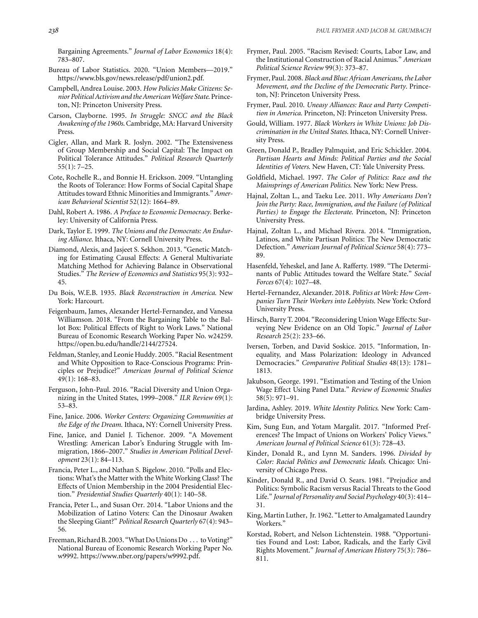Bargaining Agreements." *Journal of Labor Economics* 18(4): 783–807.

- Bureau of Labor Statistics. 2020. "Union Members—2019." [https://www.bls.gov/news.release/pdf/union2.pdf.](https://www.bls.gov/news.release/pdf/union2.pdf)
- Campbell, Andrea Louise. 2003. *How Policies Make Citizens: Senior Political Activism andthe AmericanWelfare State*. Princeton, NJ: Princeton University Press.
- Carson, Clayborne. 1995. *In Struggle: SNCC and the Black Awakening of the 1960s*. Cambridge, MA: Harvard University Press.
- Cigler, Allan, and Mark R. Joslyn. 2002. "The Extensiveness of Group Membership and Social Capital: The Impact on Political Tolerance Attitudes." *Political Research Quarterly* 55(1): 7–25.
- Cote, Rochelle R., and Bonnie H. Erickson. 2009. "Untangling the Roots of Tolerance: How Forms of Social Capital Shape Attitudes toward Ethnic Minorities and Immigrants." *American Behavioral Scientist* 52(12): 1664–89.
- Dahl, Robert A. 1986. *A Preface to Economic Democracy*. Berkeley: University of California Press.
- Dark, Taylor E. 1999. *The Unions and the Democrats: An Enduring Alliance*. Ithaca, NY: Cornell University Press.
- Diamond, Alexis, and Jasjeet S. Sekhon. 2013. "Genetic Matching for Estimating Causal Effects: A General Multivariate Matching Method for Achieving Balance in Observational Studies." *The Review of Economics and Statistics* 95(3): 932– 45.
- Du Bois, W.E.B. 1935. *Black Reconstruction in America*. New York: Harcourt.
- Feigenbaum, James, Alexander Hertel-Fernandez, and Vanessa Williamson. 2018. "From the Bargaining Table to the Ballot Box: Political Effects of Right to Work Laws." National Bureau of Economic Research Working Paper No. w24259. [https://open.bu.edu/handle/2144/27524.](https://open.bu.edu/handle/2144/27524)
- Feldman, Stanley, and Leonie Huddy. 2005. "Racial Resentment and White Opposition to Race-Conscious Programs: Principles or Prejudice?" *American Journal of Political Science* 49(1): 168–83.
- Ferguson, John-Paul. 2016. "Racial Diversity and Union Organizing in the United States, 1999–2008." *ILR Review* 69(1): 53–83.
- Fine, Janice. 2006. *Worker Centers: Organizing Communities at the Edge of the Dream*. Ithaca, NY: Cornell University Press.
- Fine, Janice, and Daniel J. Tichenor. 2009. "A Movement Wrestling: American Labor's Enduring Struggle with Immigration, 1866–2007." *Studies in American Political Development* 23(1): 84–113.
- Francia, Peter L., and Nathan S. Bigelow. 2010. "Polls and Elections: What's the Matter with the White Working Class? The Effects of Union Membership in the 2004 Presidential Election." *Presidential Studies Quarterly* 40(1): 140–58.
- Francia, Peter L., and Susan Orr. 2014. "Labor Unions and the Mobilization of Latino Voters: Can the Dinosaur Awaken the Sleeping Giant?" *Political Research Quarterly* 67(4): 943– 56.
- Freeman, Richard B. 2003. "What Do Unions Do ... to Voting?" National Bureau of Economic Research Working Paper No. w9992. [https://www.nber.org/papers/w9992.pdf.](https://www.nber.org/papers/w9992.pdf)
- Frymer, Paul. 2005. "Racism Revised: Courts, Labor Law, and the Institutional Construction of Racial Animus." *American Political Science Review* 99(3): 373–87.
- Frymer, Paul. 2008. *Black and Blue: African Americans, the Labor Movement, and the Decline of the Democratic Party*. Princeton, NJ: Princeton University Press.
- Frymer, Paul. 2010. *Uneasy Alliances: Race and Party Competition in America*. Princeton, NJ: Princeton University Press.
- Gould, William. 1977. *Black Workers in White Unions: Job Discrimination in the United States*. Ithaca, NY: Cornell University Press.
- Green, Donald P., Bradley Palmquist, and Eric Schickler. 2004. *Partisan Hearts and Minds: Political Parties and the Social Identities of Voters*. New Haven, CT: Yale University Press.
- Goldfield, Michael. 1997. *The Color of Politics: Race and the Mainsprings of American Politics*. New York: New Press.
- Hajnal, Zoltan L., and Taeku Lee. 2011. *Why Americans Don't Join the Party: Race, Immigration, and the Failure (of Political Parties) to Engage the Electorate*. Princeton, NJ: Princeton University Press.
- Hajnal, Zoltan L., and Michael Rivera. 2014. "Immigration, Latinos, and White Partisan Politics: The New Democratic Defection." *American Journal of Political Science* 58(4): 773– 89.
- Hasenfeld, Yeheskel, and Jane A. Rafferty. 1989. "The Determinants of Public Attitudes toward the Welfare State." *Social Forces* 67(4): 1027–48.
- Hertel-Fernandez, Alexander. 2018. *Politics at Work: How Companies Turn Their Workers into Lobbyists*. New York: Oxford University Press.
- Hirsch, Barry T. 2004. "Reconsidering Union Wage Effects: Surveying New Evidence on an Old Topic." *Journal of Labor Research* 25(2): 233–66.
- Iversen, Torben, and David Soskice. 2015. "Information, Inequality, and Mass Polarization: Ideology in Advanced Democracies." *Comparative Political Studies* 48(13): 1781– 1813.
- Jakubson, George. 1991. "Estimation and Testing of the Union Wage Effect Using Panel Data." *Review of Economic Studies* 58(5): 971–91.
- Jardina, Ashley. 2019. *White Identity Politics*. New York: Cambridge University Press.
- Kim, Sung Eun, and Yotam Margalit. 2017. "Informed Preferences? The Impact of Unions on Workers' Policy Views." *American Journal of Political Science* 61(3): 728–43.
- Kinder, Donald R., and Lynn M. Sanders. 1996. *Divided by Color: Racial Politics and Democratic Ideals*. Chicago: University of Chicago Press.
- Kinder, Donald R., and David O. Sears. 1981. "Prejudice and Politics: Symbolic Racism versus Racial Threats to the Good Life." *Journal of Personality and Social Psychology* 40(3): 414– 31.
- King, Martin Luther, Jr. 1962. "Letter to Amalgamated Laundry Workers."
- Korstad, Robert, and Nelson Lichtenstein. 1988. "Opportunities Found and Lost: Labor, Radicals, and the Early Civil Rights Movement." *Journal of American History* 75(3): 786– 811.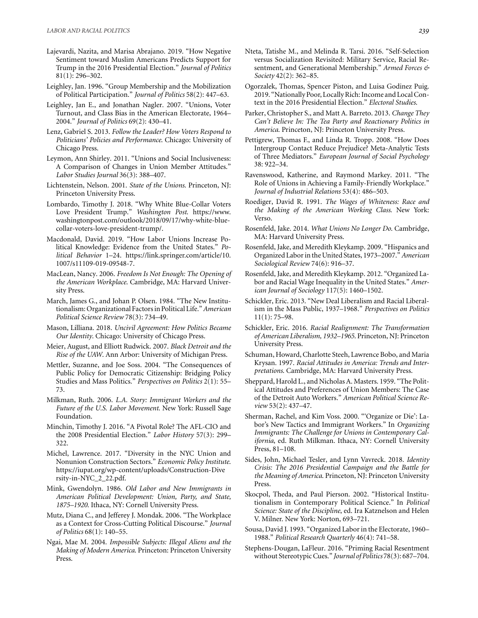- Lajevardi, Nazita, and Marisa Abrajano. 2019. "How Negative Sentiment toward Muslim Americans Predicts Support for Trump in the 2016 Presidential Election." *Journal of Politics* 81(1): 296–302.
- Leighley, Jan. 1996. "Group Membership and the Mobilization of Political Participation." *Journal of Politics* 58(2): 447–63.
- Leighley, Jan E., and Jonathan Nagler. 2007. "Unions, Voter Turnout, and Class Bias in the American Electorate, 1964– 2004." *Journal of Politics* 69(2): 430–41.
- Lenz, Gabriel S. 2013. *Follow the Leader? How Voters Respond to Politicians' Policies and Performance*. Chicago: University of Chicago Press.
- Leymon, Ann Shirley. 2011. "Unions and Social Inclusiveness: A Comparison of Changes in Union Member Attitudes." *Labor Studies Journal* 36(3): 388–407.
- Lichtenstein, Nelson. 2001. *State of the Unions*. Princeton, NJ: Princeton University Press.
- Lombardo, Timothy J. 2018. "Why White Blue-Collar Voters Love President Trump." *Washington Post*. [https://www.](https://www.washingtonpost.com/outlook/2018/09/17/why-white-blue-collar-voters-love-president-trump/) [washingtonpost.com/outlook/2018/09/17/why-white-blue](https://www.washingtonpost.com/outlook/2018/09/17/why-white-blue-collar-voters-love-president-trump/)[collar-voters-love-president-trump/.](https://www.washingtonpost.com/outlook/2018/09/17/why-white-blue-collar-voters-love-president-trump/)
- Macdonald, David. 2019. "How Labor Unions Increase Political Knowledge: Evidence from the United States." *Political Behavior* 1–24. [https://link.springer.com/article/10.](https://link.springer.com/article/10.1007/s11109-019-09548-7) [1007/s11109-019-09548-7.](https://link.springer.com/article/10.1007/s11109-019-09548-7)
- MacLean, Nancy. 2006. *Freedom Is Not Enough: The Opening of the American Workplace*. Cambridge, MA: Harvard University Press.
- March, James G., and Johan P. Olsen. 1984. "The New Institutionalism: Organizational Factorsin Political Life."*American Political Science Review* 78(3): 734–49.
- Mason, Lilliana. 2018. *Uncivil Agreement: How Politics Became Our Identity*. Chicago: University of Chicago Press.
- Meier, August, and Elliott Rudwick. 2007. *Black Detroit and the Rise of the UAW*. Ann Arbor: University of Michigan Press.
- Mettler, Suzanne, and Joe Soss. 2004. "The Consequences of Public Policy for Democratic Citizenship: Bridging Policy Studies and Mass Politics." *Perspectives on Politics* 2(1): 55– 73.
- Milkman, Ruth. 2006. *L.A. Story: Immigrant Workers and the Future of the U.S. Labor Movement*. New York: Russell Sage Foundation.
- Minchin, Timothy J. 2016. "A Pivotal Role? The AFL-CIO and the 2008 Presidential Election." *Labor History* 57(3): 299– 322.
- Michel, Lawrence. 2017. "Diversity in the NYC Union and Nonunion Construction Sectors." *Economic Policy Institute*. [https://iupat.org/wp-content/uploads/Construction-Dive](https://iupat.org/wp-content/uploads/Construction-Diversity-in-NYC_2_22.pdf) [rsity-in-NYC\\_2\\_22.pdf.](https://iupat.org/wp-content/uploads/Construction-Diversity-in-NYC_2_22.pdf)
- Mink, Gwendolyn. 1986. *Old Labor and New Immigrants in American Political Development: Union, Party, and State, 1875–1920*. Ithaca, NY: Cornell University Press.
- Mutz, Diana C., and Jefferey J. Mondak. 2006. "The Workplace as a Context for Cross-Cutting Political Discourse." *Journal of Politics* 68(1): 140–55.
- Ngai, Mae M. 2004. *Impossible Subjects: Illegal Aliens and the Making of Modern America*. Princeton: Princeton University Press.
- Nteta, Tatishe M., and Melinda R. Tarsi. 2016. "Self-Selection versus Socialization Revisited: Military Service, Racial Resentment, and Generational Membership." *Armed Forces & Society* 42(2): 362–85.
- Ogorzalek, Thomas, Spencer Piston, and Luisa Godinez Puig. 2019. "Nationally Poor, Locally Rich: Income and Local Context in the 2016 Presidential Election." *Electoral Studies*.
- Parker, Christopher S., and Matt A. Barreto. 2013. *Change They Can't Believe In: The Tea Party and Reactionary Politics in America*. Princeton, NJ: Princeton University Press.
- Pettigrew, Thomas F., and Linda R. Tropp. 2008. "How Does Intergroup Contact Reduce Prejudice? Meta-Analytic Tests of Three Mediators." *European Journal of Social Psychology* 38: 922–34.
- Ravenswood, Katherine, and Raymond Markey. 2011. "The Role of Unions in Achieving a Family-Friendly Workplace." *Journal of Industrial Relations* 53(4): 486–503.
- Roediger, David R. 1991. *The Wages of Whiteness: Race and the Making of the American Working Class*. New York: Verso.
- Rosenfeld, Jake. 2014. *What Unions No Longer Do*. Cambridge, MA: Harvard University Press.
- Rosenfeld, Jake, and Meredith Kleykamp. 2009. "Hispanics and Organized Labor in the United States, 1973–2007."*American Sociological Review* 74(6): 916–37.
- Rosenfeld, Jake, and Meredith Kleykamp. 2012. "Organized Labor and Racial Wage Inequality in the United States." *American Journal of Sociology* 117(5): 1460–1502.
- Schickler, Eric. 2013. "New Deal Liberalism and Racial Liberalism in the Mass Public, 1937–1968." *Perspectives on Politics* 11(1): 75–98.
- Schickler, Eric. 2016. *Racial Realignment: The Transformation of American Liberalism, 1932–1965*. Princeton, NJ: Princeton University Press.
- Schuman, Howard, Charlotte Steeh, Lawrence Bobo, and Maria Krysan. 1997. *Racial Attitudes in America: Trends and Interpretations*. Cambridge, MA: Harvard University Press.
- Sheppard, Harold L., and Nicholas A. Masters. 1959. "The Political Attitudes and Preferences of Union Members: The Case of the Detroit Auto Workers." *American Political Science Review* 53(2): 437–47.
- Sherman, Rachel, and Kim Voss. 2000. "'Organize or Die': Labor's New Tactics and Immigrant Workers." In *Organizing Immigrants: The Challenge for Unions in Contemporary California*, ed. Ruth Milkman. Ithaca, NY: Cornell University Press, 81–108.
- Sides, John, Michael Tesler, and Lynn Vavreck. 2018. *Identity Crisis: The 2016 Presidential Campaign and the Battle for the Meaning of America*. Princeton, NJ: Princeton University Press.
- Skocpol, Theda, and Paul Pierson. 2002. "Historical Institutionalism in Contemporary Political Science." In *Political Science: State of the Discipline*, ed. Ira Katznelson and Helen V. Milner. New York: Norton, 693–721.
- Sousa, David J. 1993. "Organized Labor in the Electorate, 1960– 1988." *Political Research Quarterly* 46(4): 741–58.
- Stephens-Dougan, LaFleur. 2016. "Priming Racial Resentment without Stereotypic Cues." *Journal of Politics* 78(3): 687–704.